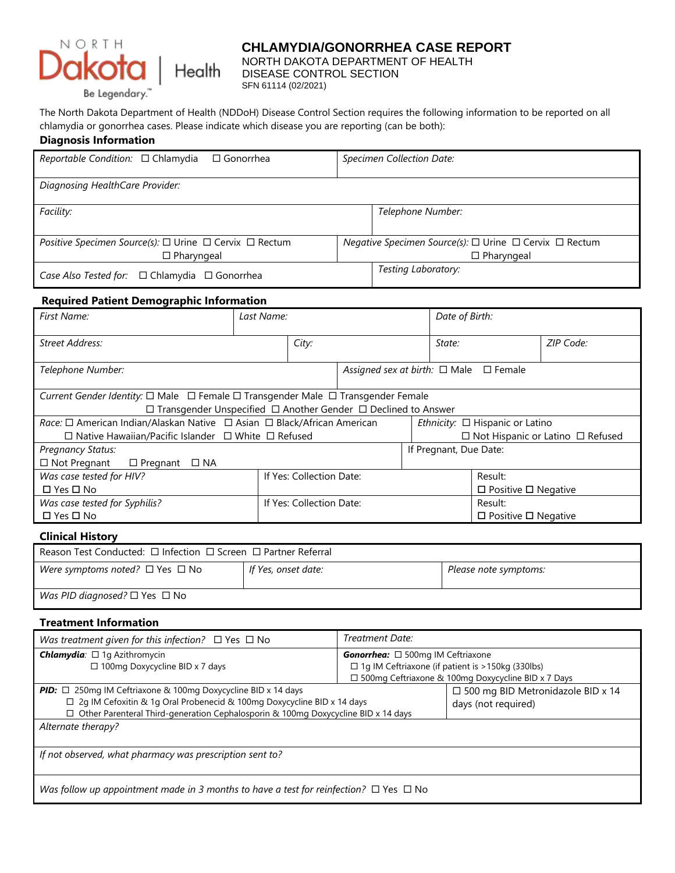

# **CHLAMYDIA/GONORRHEA CASE REPORT**

NORTH DAKOTA DEPARTMENT OF HEALTH<br>Health DISEASE CONTROL SECTION DISEASE CONTROL SECTION

The North Dakota Department of Health (NDDoH) Disease Control Section requires the following information to be reported on all chlamydia or gonorrhea cases. Please indicate which disease you are reporting (can be both):

#### **Diagnosis Information**

| Reportable Condition: $\Box$ Chlamydia<br>$\Box$ Gonorrhea                   | <b>Specimen Collection Date:</b>                                    |  |  |
|------------------------------------------------------------------------------|---------------------------------------------------------------------|--|--|
| Diagnosing HealthCare Provider:                                              |                                                                     |  |  |
| Facility:                                                                    | Telephone Number:                                                   |  |  |
| <i>Positive Specimen Source(s):</i> $\Box$ Urine $\Box$ Cervix $\Box$ Rectum | <i>Negative Specimen Source(s):</i> $□$ Urine $□$ Cervix $□$ Rectum |  |  |
| $\Box$ Pharyngeal                                                            | $\Box$ Pharyngeal                                                   |  |  |
| Case Also Tested for: □ Chlamydia □ Gonorrhea                                | Testing Laboratory:                                                 |  |  |

### **Required Patient Demographic Information**

| First Name:                                                                      | Last Name: |                                 | Date of Birth: |  |                                                  |                                 |           |  |
|----------------------------------------------------------------------------------|------------|---------------------------------|----------------|--|--------------------------------------------------|---------------------------------|-----------|--|
| Street Address:                                                                  |            | City:                           |                |  | State:                                           |                                 | ZIP Code: |  |
| Telephone Number:                                                                |            |                                 |                |  | Assigned sex at birth: $\Box$ Male $\Box$ Female |                                 |           |  |
| Current Gender Identity: □ Male □ Female □ Transgender Male □ Transgender Female |            |                                 |                |  |                                                  |                                 |           |  |
| $\Box$ Transgender Unspecified $\Box$ Another Gender $\Box$ Declined to Answer   |            |                                 |                |  |                                                  |                                 |           |  |
|                                                                                  |            |                                 |                |  | <i>Ethnicity:</i> $\Box$ Hispanic or Latino      |                                 |           |  |
| $\Box$ Native Hawaiian/Pacific Islander $\Box$ White $\Box$ Refused              |            |                                 |                |  | $\Box$ Not Hispanic or Latino $\Box$ Refused     |                                 |           |  |
| <b>Pregnancy Status:</b>                                                         |            |                                 |                |  | If Pregnant, Due Date:                           |                                 |           |  |
| $\Box$ Not Pregnant<br>$\Box$ Pregnant $\Box$ NA                                 |            |                                 |                |  |                                                  |                                 |           |  |
| Was case tested for HIV?                                                         |            | If Yes: Collection Date:        |                |  |                                                  | Result:                         |           |  |
| $\Box$ Yes $\Box$ No                                                             |            | $\Box$ Positive $\Box$ Negative |                |  |                                                  |                                 |           |  |
| Was case tested for Syphilis?                                                    |            | If Yes: Collection Date:        |                |  |                                                  | Result:                         |           |  |
| $\Box$ Yes $\Box$ No                                                             |            |                                 |                |  |                                                  | $\Box$ Positive $\Box$ Negative |           |  |
| --- - --- -                                                                      |            |                                 |                |  |                                                  |                                 |           |  |

### **Clinical History**

| Reason Test Conducted: $\Box$ Infection $\Box$ Screen $\Box$ Partner Referral |                                              |  |  |  |
|-------------------------------------------------------------------------------|----------------------------------------------|--|--|--|
| Were symptoms noted? $\Box$ Yes $\Box$ No                                     | If Yes, onset date:<br>Please note symptoms: |  |  |  |
| Was PID diagnosed? $\square$ Yes $\square$ No                                 |                                              |  |  |  |

### **Treatment Information**

| Was treatment given for this infection? $\Box$ Yes $\Box$ No                                    | Treatment Date:                                          |                                             |  |  |  |
|-------------------------------------------------------------------------------------------------|----------------------------------------------------------|---------------------------------------------|--|--|--|
| <b>Chlamydia</b> : □ 1g Azithromycin                                                            | <b>Gonorrhea:</b> $\Box$ 500mg IM Ceftriaxone            |                                             |  |  |  |
| □ 100mg Doxycycline BID x 7 days                                                                | $\Box$ 1g IM Ceftriaxone (if patient is > 150kg (330lbs) |                                             |  |  |  |
|                                                                                                 | □ 500mg Ceftriaxone & 100mg Doxycycline BID x 7 Days     |                                             |  |  |  |
| <b>PID:</b> $\Box$ 250mg IM Ceftriaxone & 100mg Doxycycline BID x 14 days                       |                                                          | $\square$ 500 mg BID Metronidazole BID x 14 |  |  |  |
| $\Box$ 2q IM Cefoxitin & 1q Oral Probenecid & 100mg Doxycycline BID x 14 days                   |                                                          | days (not required)                         |  |  |  |
| $\Box$ Other Parenteral Third-generation Cephalosporin & 100mg Doxycycline BID x 14 days        |                                                          |                                             |  |  |  |
| Alternate therapy?                                                                              |                                                          |                                             |  |  |  |
|                                                                                                 |                                                          |                                             |  |  |  |
| If not observed, what pharmacy was prescription sent to?                                        |                                                          |                                             |  |  |  |
|                                                                                                 |                                                          |                                             |  |  |  |
|                                                                                                 |                                                          |                                             |  |  |  |
| Was follow up appointment made in 3 months to have a test for reinfection? $\Box$ Yes $\Box$ No |                                                          |                                             |  |  |  |
|                                                                                                 |                                                          |                                             |  |  |  |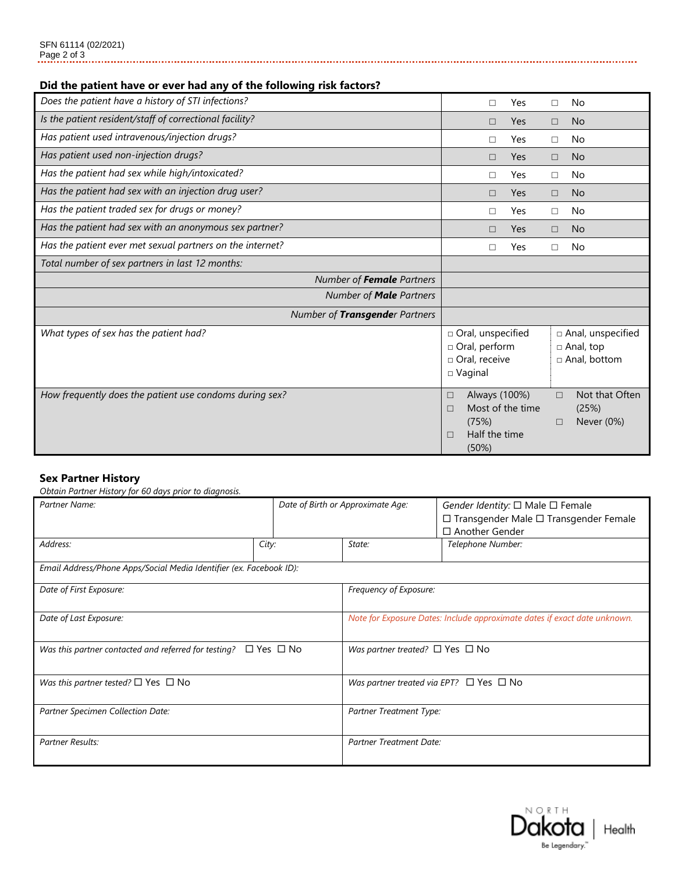## **Did the patient have or ever had any of the following risk factors?**

| Does the patient have a history of STI infections?        | П                                                                                | Yes                               | п           | No                                                        |
|-----------------------------------------------------------|----------------------------------------------------------------------------------|-----------------------------------|-------------|-----------------------------------------------------------|
| Is the patient resident/staff of correctional facility?   | П                                                                                | <b>Yes</b>                        | $\Box$      | <b>No</b>                                                 |
| Has patient used intravenous/injection drugs?             | П                                                                                | Yes                               | □           | No                                                        |
| Has patient used non-injection drugs?                     | П                                                                                | <b>Yes</b>                        | $\Box$      | <b>No</b>                                                 |
| Has the patient had sex while high/intoxicated?           | □                                                                                | Yes                               | □           | No                                                        |
| Has the patient had sex with an injection drug user?      | □                                                                                | <b>Yes</b>                        | □           | <b>No</b>                                                 |
| Has the patient traded sex for drugs or money?            | П                                                                                | Yes                               | $\Box$      | No                                                        |
| Has the patient had sex with an anonymous sex partner?    | П                                                                                | <b>Yes</b>                        | П           | <b>No</b>                                                 |
| Has the patient ever met sexual partners on the internet? | П                                                                                | Yes                               | □           | No                                                        |
| Total number of sex partners in last 12 months:           |                                                                                  |                                   |             |                                                           |
| Number of Female Partners                                 |                                                                                  |                                   |             |                                                           |
| Number of <b>Male</b> Partners                            |                                                                                  |                                   |             |                                                           |
| Number of Transgender Partners                            |                                                                                  |                                   |             |                                                           |
| What types of sex has the patient had?                    | □ Oral, unspecified<br>□ Oral, perform<br>$\Box$ Oral, receive<br>$\Box$ Vaginal |                                   |             | □ Anal, unspecified<br>$\Box$ Anal, top<br>□ Anal, bottom |
| How frequently does the patient use condoms during sex?   | $\Box$<br>П<br>(75%)<br>Half the time<br>$\Box$<br>(50%)                         | Always (100%)<br>Most of the time | $\Box$<br>□ | Not that Often<br>(25%)<br>Never (0%)                     |

#### **Sex Partner History**

*Obtain Partner History for 60 days prior to diagnosis.* 

| Partner Name:                                                             |       | Date of Birth or Approximate Age:                 | Gender Identity: $\Box$ Male $\Box$ Female<br>□ Transgender Male □ Transgender Female |  |  |
|---------------------------------------------------------------------------|-------|---------------------------------------------------|---------------------------------------------------------------------------------------|--|--|
|                                                                           |       |                                                   | $\Box$ Another Gender                                                                 |  |  |
| Address:                                                                  | City: | State:                                            | Telephone Number:                                                                     |  |  |
| Email Address/Phone Apps/Social Media Identifier (ex. Facebook ID):       |       |                                                   |                                                                                       |  |  |
| Date of First Exposure:                                                   |       | Frequency of Exposure:                            |                                                                                       |  |  |
| Date of Last Exposure:                                                    |       |                                                   | Note for Exposure Dates: Include approximate dates if exact date unknown.             |  |  |
| Was this partner contacted and referred for testing? $\Box$ Yes $\Box$ No |       | Was partner treated? $\square$ Yes $\square$ No   |                                                                                       |  |  |
| Was this partner tested? $\square$ Yes $\square$ No                       |       | Was partner treated via EPT? $\Box$ Yes $\Box$ No |                                                                                       |  |  |
| Partner Specimen Collection Date:                                         |       | Partner Treatment Type:                           |                                                                                       |  |  |
| <b>Partner Results:</b>                                                   |       | <b>Partner Treatment Date:</b>                    |                                                                                       |  |  |